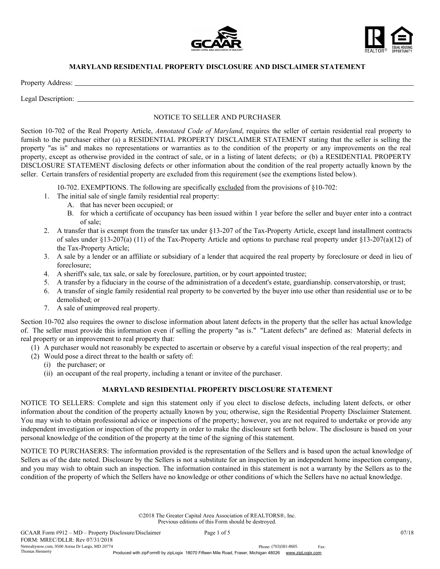



## MARYLAND RESIDENTIAL PROPERTY DISCLOSURE AND DISCLAIMER STATEMENT

Property Address:

Legal Description: \_

## NOTICE TO SELLER AND PURCHASER

Section 10-702 of the Real Property Article, *Annotated Code of Maryland*, requires the seller of certain residential real property to furnish to the purchaser either (a) a RESIDENTIAL PROPERTY DISCLAIMER STATEMENT stating that the seller is selling the property "as is" and makes no representations or warranties as to the condition of the property or any improvements on the real property, except as otherwise provided in the contract of sale, or in a listing of latent defects; or (b) a RESIDENTIAL PROPERTY DISCLOSURE STATEMENT disclosing defects or other information about the condition of the real property actually known by the seller. Certain transfers of residential property are excluded from this requirement (see the exemptions listed below).

10-702. EXEMPTIONS. The following are specifically excluded from the provisions of §10-702:

- 1. The initial sale of single family residential real property:
	- A. that has never been occupied; or
	- B. for which a certificate of occupancy has been issued within 1 year before the seller and buyer enter into a contract of sale;
- 2. A transfer that is exempt from the transfer tax under §13-207 of the Tax-Property Article, except land installment contracts of sales under  $\S$ 13-207(a) (11) of the Tax-Property Article and options to purchase real property under  $\S$ 13-207(a)(12) of the Tax-Property Article;
- 3. A sale by a lender or an affiliate or subsidiary of a lender that acquired the real property by foreclosure or deed in lieu of foreclosure;
- 4. A sheriff's sale, tax sale, or sale by foreclosure, partition, or by court appointed trustee;
- 5. A transfer by a fiduciary in the course of the administration of a decedent's estate, guardianship. conservatorship, or trust;
- 6. A transfer of single family residential real property to be converted by the buyer into use other than residential use or to be demolished; or
- 7. A sale of unimproved real property.

Section 10-702 also requires the owner to disclose information about latent defects in the property that the seller has actual knowledge of. The seller must provide this information even if selling the property "as is." "Latent defects" are defined as: Material defects in real property or an improvement to real property that:

- (1) A purchaser would not reasonably be expected to ascertain or observe by a careful visual inspection of the real property; and
- (2) Would pose a direct threat to the health or safety of:
	- (i) the purchaser; or
	- (ii) an occupant of the real property, including a tenant or invitee of the purchaser.

## MARYLAND RESIDENTIAL PROPERTY DISCLOSURE STATEMENT

NOTICE TO SELLERS: Complete and sign this statement only if you elect to disclose defects, including latent defects, or other information about the condition of the property actually known by you; otherwise, sign the Residential Property Disclaimer Statement. You may wish to obtain professional advice or inspections of the property; however, you are not required to undertake or provide any independent investigation or inspection of the property in order to make the disclosure set forth below. The disclosure is based on your personal knowledge of the condition of the property at the time of the signing of this statement.

NOTICE TO PURCHASERS: The information provided is the representation of the Sellers and is based upon the actual knowledge of Sellers as of the date noted. Disclosure by the Sellers is not a substitute for an inspection by an independent home inspection company, and you may wish to obtain such an inspection. The information contained in this statement is not a warranty by the Sellers as to the condition of the property of which the Sellers have no knowledge or other conditions of which the Sellers have no actual knowledge.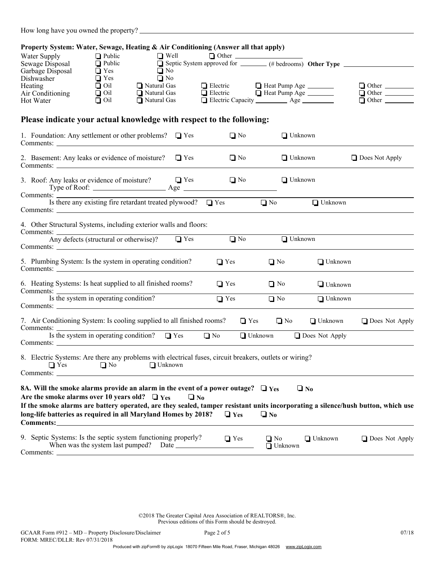|  |  |  | How long have you owned the property? |
|--|--|--|---------------------------------------|
|--|--|--|---------------------------------------|

| Property System: Water, Sewage, Heating & Air Conditioning (Answer all that apply)                                                                                                                                                                                                                                                                |                                                              |                                           |                                       |                                                                  |                |                                                                                                                                    |                       |
|---------------------------------------------------------------------------------------------------------------------------------------------------------------------------------------------------------------------------------------------------------------------------------------------------------------------------------------------------|--------------------------------------------------------------|-------------------------------------------|---------------------------------------|------------------------------------------------------------------|----------------|------------------------------------------------------------------------------------------------------------------------------------|-----------------------|
| Water Supply<br>Sewage Disposal<br>Garbage Disposal<br>Dishwasher                                                                                                                                                                                                                                                                                 | $\Box$ Public<br>$\Box$ Public<br>$\Box$ Yes<br>$\Box$ Yes   |                                           | $\Box$ Well<br>$\Box$ No<br>$\Box$ No |                                                                  |                | □ Well □ Other <u>University</u> of the <b>community</b> Septic System approved for <u>University of the University Other Type</u> |                       |
| Heating<br>Air Conditioning<br>Hot Water                                                                                                                                                                                                                                                                                                          | $\overline{\Box}$ Oil<br>$\overline{\Box}$ Oil<br>$\Box$ Oil | Natural Gas<br>Natural Gas<br>Natural Gas |                                       |                                                                  |                | □ Electric □ Heat Pump Age<br>□ Electric □ Heat Pump Age _______<br>Electric Capacity __________ Age _________                     |                       |
| Please indicate your actual knowledge with respect to the following:                                                                                                                                                                                                                                                                              |                                                              |                                           |                                       |                                                                  |                |                                                                                                                                    |                       |
| 1. Foundation: Any settlement or other problems? $\Box$ Yes                                                                                                                                                                                                                                                                                       |                                                              |                                           |                                       | $\Box$ No                                                        |                | $\Box$ Unknown                                                                                                                     |                       |
| 2. Basement: Any leaks or evidence of moisture?                                                                                                                                                                                                                                                                                                   |                                                              |                                           | $\Box$ Yes                            | $\Box$ No                                                        |                | $\Box$ Unknown                                                                                                                     | $\Box$ Does Not Apply |
|                                                                                                                                                                                                                                                                                                                                                   |                                                              |                                           |                                       |                                                                  |                | $\Box$ Unknown                                                                                                                     |                       |
| Comments:                                                                                                                                                                                                                                                                                                                                         |                                                              |                                           |                                       | Is there any existing fire retardant treated plywood? $\Box$ Yes |                | $\Box$ Unknown<br>$\Box$ No                                                                                                        |                       |
| 4. Other Structural Systems, including exterior walls and floors:<br>Comments: $\frac{1}{\text{Any defects (structural or otherwise)}}$ $\boxed{\text{Yes}}$<br>Comments:                                                                                                                                                                         |                                                              |                                           |                                       | $\Box$ No                                                        |                | $\Box$ Unknown                                                                                                                     |                       |
| 5. Plumbing System: Is the system in operating condition?                                                                                                                                                                                                                                                                                         |                                                              |                                           |                                       | $\Box$ Yes                                                       | $\Box$ No      | $\Box$ Unknown                                                                                                                     |                       |
| 6. Heating Systems: Is heat supplied to all finished rooms?                                                                                                                                                                                                                                                                                       |                                                              |                                           |                                       | $\Box$ Yes                                                       | $\Box$ No      | $\Box$ Unknown                                                                                                                     |                       |
| Comments: Is the system in operating condition?                                                                                                                                                                                                                                                                                                   |                                                              |                                           |                                       | $\Box$ Yes                                                       | $\Box$ No      | $\Box$ Unknown                                                                                                                     |                       |
| 7. Air Conditioning System: Is cooling supplied to all finished rooms?<br>Comments:                                                                                                                                                                                                                                                               |                                                              |                                           |                                       |                                                                  | $\Box$ Yes     | $\Box$ No<br>$\Box$ Unknown                                                                                                        | $\Box$ Does Not Apply |
| Is the system in operating condition? $\Box$ Yes                                                                                                                                                                                                                                                                                                  |                                                              |                                           |                                       | $\Box$ No                                                        | $\Box$ Unknown | □ Does Not Apply                                                                                                                   |                       |
| 8. Electric Systems: Are there any problems with electrical fuses, circuit breakers, outlets or wiring?<br>$\Box$ Yes $\Box$ No $\Box$ Unknown<br>Comments:                                                                                                                                                                                       |                                                              |                                           |                                       |                                                                  |                |                                                                                                                                    |                       |
| 8A. Will the smoke alarms provide an alarm in the event of a power outage? $\Box$ Yes<br>Are the smoke alarms over 10 years old? $\Box$ Yes<br>If the smoke alarms are battery operated, are they sealed, tamper resistant units incorporating a silence/hush button, which use<br>long-life batteries as required in all Maryland Homes by 2018? |                                                              |                                           | $\Box$ No                             | $\Box$ Yes                                                       | $\Box$ No      | $\Box$ No                                                                                                                          |                       |
| 9. Septic Systems: Is the septic system functioning properly?                                                                                                                                                                                                                                                                                     |                                                              |                                           |                                       | $\Box$ Yes                                                       | $\Box$ No      | $\Box$ Unknown<br>$\Box$ Unknown                                                                                                   | $\Box$ Does Not Apply |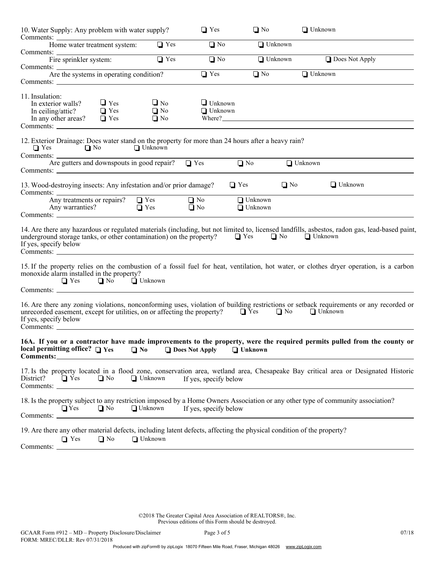| 10. Water Supply: Any problem with water supply?                                                                                                                                                                                              |                                     | $\Box$ Yes                           | $\Box$ No                        | $\Box$ Unknown |                       |
|-----------------------------------------------------------------------------------------------------------------------------------------------------------------------------------------------------------------------------------------------|-------------------------------------|--------------------------------------|----------------------------------|----------------|-----------------------|
| Home water treatment system:                                                                                                                                                                                                                  | $\Box$ Yes                          | $\Box$ No                            | $\Box$ Unknown                   |                |                       |
| Comments:<br>Fire sprinkler system:<br>Comments: <u>Are the systems in operating condition</u> ?                                                                                                                                              | $\Box$ Yes                          | $\Box$ No                            | $\Box$ Unknown                   |                | $\Box$ Does Not Apply |
|                                                                                                                                                                                                                                               |                                     | $\Box$ Yes                           | $\Box$ No                        | $\Box$ Unknown |                       |
| 11. Insulation:<br>$\Box$ Yes<br>In exterior walls?<br>In ceiling/attic?<br>$\Box$ Yes<br>In any other areas? $\Box$ Yes<br>Comments:                                                                                                         | $\Box$ No<br>$\Box$ No<br>$\Box$ No | $\Box$ Unknown<br>$\Box$ Unknown     |                                  |                |                       |
| 12. Exterior Drainage: Does water stand on the property for more than 24 hours after a heavy rain?<br>$\Box$ No<br>$\Box$ Yes                                                                                                                 | $\Box$ Unknown                      |                                      |                                  |                |                       |
| Are gutters and downspouts in good repair? $\Box$ Yes<br>Comments:                                                                                                                                                                            |                                     |                                      | $\Box$ No                        | $\Box$ Unknown |                       |
| 13. Wood-destroying insects: Any infestation and/or prior damage?<br>Any treatments or repairs?<br>$\Box$ Yes<br>Any warranties?<br>$\Box$ Yes                                                                                                |                                     | $\Box$ Yes<br>$\Box$ No<br>$\Box$ No | $\Box$ Unknown<br>$\Box$ Unknown | $\Box$ No      | $\Box$ Unknown        |
| Comments:                                                                                                                                                                                                                                     |                                     |                                      |                                  |                |                       |
| 14. Are there any hazardous or regulated materials (including, but not limited to, licensed landfills, asbestos, radon gas, lead-based paint,<br>underground storage tanks, or other contamination) on the property?<br>If yes, specify below |                                     | $\Box$ Yes                           | $\Box$ No                        | <b>Unknown</b> |                       |
| 15. If the property relies on the combustion of a fossil fuel for heat, ventilation, hot water, or clothes dryer operation, is a carbon<br>monoxide alarm installed in the property?<br>$\Box$ Yes $\Box$ No $\Box$ Unknown                   |                                     |                                      |                                  |                |                       |
| 16. Are there any zoning violations, nonconforming uses, violation of building restrictions or setback requirements or any recorded or<br>unrecorded easement, except for utilities, on or affecting the property?<br>If yes, specify below   |                                     |                                      | $\Box$ Yes                       | $\Box$ No      | $\Box$ Unknown        |
| 16A. If you or a contractor have made improvements to the property, were the required permits pulled from the county or<br>local permitting office? $\Box$ Yes<br>$\Box$ No<br>Comments:_                                                     |                                     | $\Box$ Does Not Apply                | $\Box$ Unknown                   |                |                       |
| 17. Is the property located in a flood zone, conservation area, wetland area, Chesapeake Bay critical area or Designated Historic<br>District?<br>$\Box$ No<br>$\Box$ Yes                                                                     | $\Box$ Unknown                      | If yes, specify below                |                                  |                |                       |
| 18. Is the property subject to any restriction imposed by a Home Owners Association or any other type of community association?<br>$\Box$ Yes<br>$\Box$ No<br>Comments: _                                                                     | $\Box$ Unknown                      | If yes, specify below                |                                  |                |                       |
| 19. Are there any other material defects, including latent defects, affecting the physical condition of the property?<br>$\Box$ No<br>$\Box$ Yes<br>Comments:                                                                                 | $\Box$ Unknown                      |                                      |                                  |                |                       |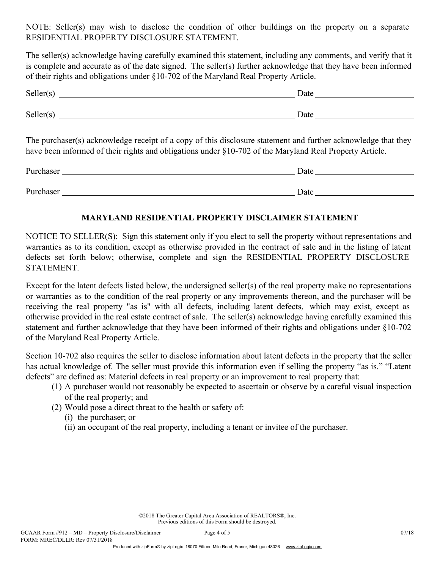NOTE: Seller(s) may wish to disclose the condition of other buildings on the property on a separate RESIDENTIAL PROPERTY DISCLOSURE STATEMENT.

The seller(s) acknowledge having carefully examined this statement, including any comments, and verify that it is complete and accurate as of the date signed. The seller(s) further acknowledge that they have been informed of their rights and obligations under §10-702 of the Maryland Real Property Article.

| Seller(s) | Date |  |  |
|-----------|------|--|--|
| Seller(s) | Date |  |  |

The purchaser(s) acknowledge receipt of a copy of this disclosure statement and further acknowledge that they have been informed of their rights and obligations under §10-702 of the Maryland Real Property Article.

| Purchaser | Date |  |  |
|-----------|------|--|--|
|           |      |  |  |
| Purchaser | Date |  |  |

## MARYLAND RESIDENTIAL PROPERTY DISCLAIMER STATEMENT

NOTICE TO SELLER(S): Sign this statement only if you elect to sell the property without representations and warranties as to its condition, except as otherwise provided in the contract of sale and in the listing of latent defects set forth below; otherwise, complete and sign the RESIDENTIAL PROPERTY DISCLOSURE STATEMENT.

Except for the latent defects listed below, the undersigned seller(s) of the real property make no representations or warranties as to the condition of the real property or any improvements thereon, and the purchaser will be receiving the real property "as is" with all defects, including latent defects, which may exist, except as otherwise provided in the real estate contract of sale. The seller(s) acknowledge having carefully examined this statement and further acknowledge that they have been informed of their rights and obligations under §10-702 of the Maryland Real Property Article.

Section 10-702 also requires the seller to disclose information about latent defects in the property that the seller has actual knowledge of. The seller must provide this information even if selling the property "as is." "Latent defects" are defined as: Material defects in real property or an improvement to real property that:

- (1) A purchaser would not reasonably be expected to ascertain or observe by a careful visual inspection of the real property; and
- (2) Would pose a direct threat to the health or safety of:
	- (i) the purchaser; or
	- (ii) an occupant of the real property, including a tenant or invitee of the purchaser.